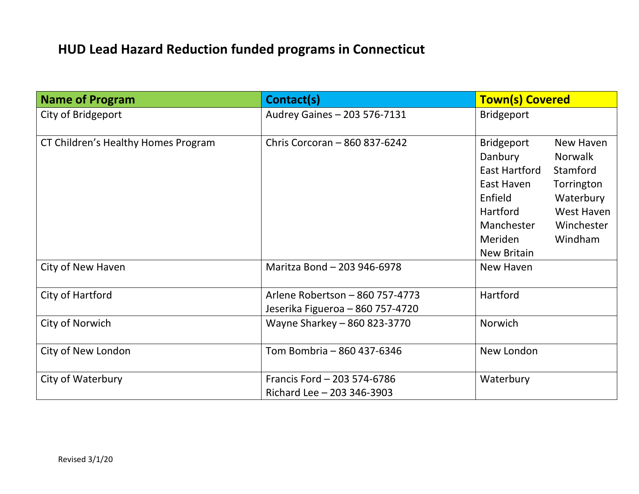## **HUD Lead Hazard Reduction funded programs in Connecticut**

| <b>Name of Program</b>              | Contact(s)                                                          | <b>Town(s) Covered</b>                                                                                                                                                                                                                                       |
|-------------------------------------|---------------------------------------------------------------------|--------------------------------------------------------------------------------------------------------------------------------------------------------------------------------------------------------------------------------------------------------------|
| City of Bridgeport                  | Audrey Gaines - 203 576-7131                                        | <b>Bridgeport</b>                                                                                                                                                                                                                                            |
| CT Children's Healthy Homes Program | Chris Corcoran - 860 837-6242                                       | <b>Bridgeport</b><br>New Haven<br>Danbury<br><b>Norwalk</b><br><b>East Hartford</b><br>Stamford<br>East Haven<br>Torrington<br>Enfield<br>Waterbury<br>West Haven<br>Hartford<br>Winchester<br>Manchester<br>Windham<br><b>Meriden</b><br><b>New Britain</b> |
| City of New Haven                   | Maritza Bond - 203 946-6978                                         | New Haven                                                                                                                                                                                                                                                    |
| City of Hartford                    | Arlene Robertson - 860 757-4773<br>Jeserika Figueroa - 860 757-4720 | Hartford                                                                                                                                                                                                                                                     |
| City of Norwich                     | Wayne Sharkey - 860 823-3770                                        | Norwich                                                                                                                                                                                                                                                      |
| City of New London                  | Tom Bombria - 860 437-6346                                          | New London                                                                                                                                                                                                                                                   |
| City of Waterbury                   | Francis Ford - 203 574-6786<br>Richard Lee - 203 346-3903           | Waterbury                                                                                                                                                                                                                                                    |